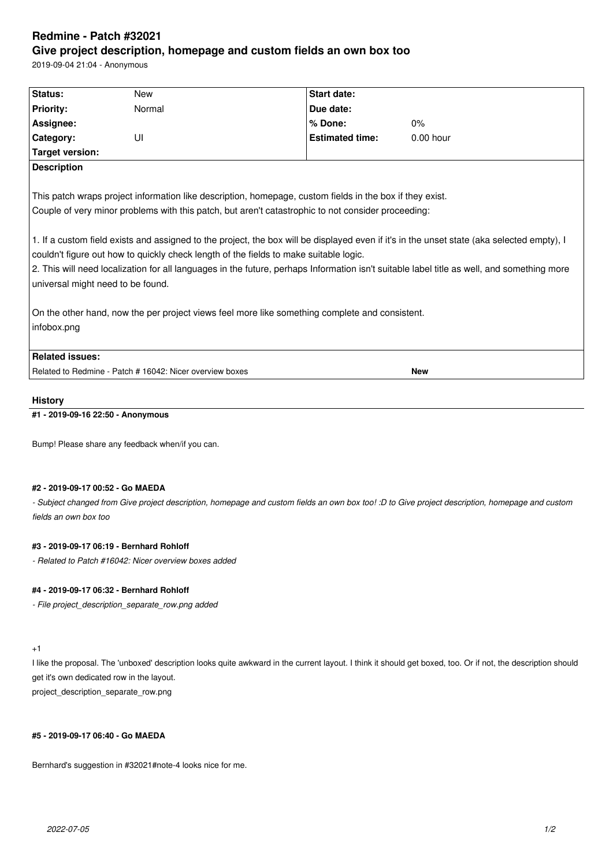# **Redmine - Patch #32021 Give project description, homepage and custom fields an own box too**

2019-09-04 21:04 - Anonymous

| Status:                                                                                                                                                                                                                                                                                                                                                                                                                                                                                                                                                                                                                                  | <b>New</b>                                               |  | <b>Start date:</b>     |             |  |  |  |
|------------------------------------------------------------------------------------------------------------------------------------------------------------------------------------------------------------------------------------------------------------------------------------------------------------------------------------------------------------------------------------------------------------------------------------------------------------------------------------------------------------------------------------------------------------------------------------------------------------------------------------------|----------------------------------------------------------|--|------------------------|-------------|--|--|--|
| <b>Priority:</b>                                                                                                                                                                                                                                                                                                                                                                                                                                                                                                                                                                                                                         | Normal                                                   |  | Due date:              |             |  |  |  |
| Assignee:                                                                                                                                                                                                                                                                                                                                                                                                                                                                                                                                                                                                                                |                                                          |  | % Done:                | $0\%$       |  |  |  |
| Category:                                                                                                                                                                                                                                                                                                                                                                                                                                                                                                                                                                                                                                | UI                                                       |  | <b>Estimated time:</b> | $0.00$ hour |  |  |  |
| Target version:                                                                                                                                                                                                                                                                                                                                                                                                                                                                                                                                                                                                                          |                                                          |  |                        |             |  |  |  |
| <b>Description</b>                                                                                                                                                                                                                                                                                                                                                                                                                                                                                                                                                                                                                       |                                                          |  |                        |             |  |  |  |
| This patch wraps project information like description, homepage, custom fields in the box if they exist.<br>Couple of very minor problems with this patch, but aren't catastrophic to not consider proceeding:<br>1. If a custom field exists and assigned to the project, the box will be displayed even if it's in the unset state (aka selected empty), I<br>couldn't figure out how to quickly check length of the fields to make suitable logic.<br>2. This will need localization for all languages in the future, perhaps Information isn't suitable label title as well, and something more<br>universal might need to be found. |                                                          |  |                        |             |  |  |  |
| On the other hand, now the per project views feel more like something complete and consistent.                                                                                                                                                                                                                                                                                                                                                                                                                                                                                                                                           |                                                          |  |                        |             |  |  |  |
| infobox.png                                                                                                                                                                                                                                                                                                                                                                                                                                                                                                                                                                                                                              |                                                          |  |                        |             |  |  |  |
| <b>Related issues:</b>                                                                                                                                                                                                                                                                                                                                                                                                                                                                                                                                                                                                                   |                                                          |  |                        |             |  |  |  |
|                                                                                                                                                                                                                                                                                                                                                                                                                                                                                                                                                                                                                                          | Related to Redmine - Patch # 16042: Nicer overview boxes |  |                        | <b>New</b>  |  |  |  |
|                                                                                                                                                                                                                                                                                                                                                                                                                                                                                                                                                                                                                                          |                                                          |  |                        |             |  |  |  |

#### **History**

# **#1 - 2019-09-16 22:50 - Anonymous**

Bump! Please share any feedback when/if you can.

#### **#2 - 2019-09-17 00:52 - Go MAEDA**

*- Subject changed from Give project description, homepage and custom fields an own box too! :D to Give project description, homepage and custom fields an own box too*

# **#3 - 2019-09-17 06:19 - Bernhard Rohloff**

*- Related to Patch #16042: Nicer overview boxes added*

## **#4 - 2019-09-17 06:32 - Bernhard Rohloff**

*- File project\_description\_separate\_row.png added*

# +1

I like the proposal. The 'unboxed' description looks quite awkward in the current layout. I think it should get boxed, too. Or if not, the description should get it's own dedicated row in the layout.

project\_description\_separate\_row.png

#### **#5 - 2019-09-17 06:40 - Go MAEDA**

Bernhard's suggestion in #32021#note-4 looks nice for me.